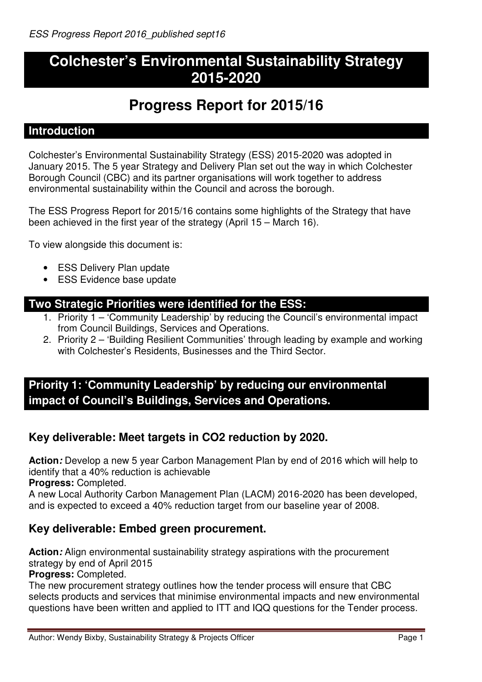# **Colchester's Environmental Sustainability Strategy 2015-2020**

# **Progress Report for 2015/16**

### **Introduction**

Colchester's Environmental Sustainability Strategy (ESS) 2015-2020 was adopted in January 2015. The 5 year Strategy and Delivery Plan set out the way in which Colchester Borough Council (CBC) and its partner organisations will work together to address environmental sustainability within the Council and across the borough.

The ESS Progress Report for 2015/16 contains some highlights of the Strategy that have been achieved in the first year of the strategy (April 15 – March 16).

To view alongside this document is:

- ESS Delivery Plan update
- ESS Evidence base update

#### **Two Strategic Priorities were identified for the ESS:**

- 1. Priority 1 'Community Leadership' by reducing the Council's environmental impact from Council Buildings, Services and Operations.
- 2. Priority 2 'Building Resilient Communities' through leading by example and working with Colchester's Residents, Businesses and the Third Sector.

# **Priority 1: 'Community Leadership' by reducing our environmental impact of Council's Buildings, Services and Operations.**

# **Key deliverable: Meet targets in CO2 reduction by 2020.**

**Action:** Develop a new 5 year Carbon Management Plan by end of 2016 which will help to identify that a 40% reduction is achievable

**Progress:** Completed.

A new Local Authority Carbon Management Plan (LACM) 2016-2020 has been developed, and is expected to exceed a 40% reduction target from our baseline year of 2008.

# **Key deliverable: Embed green procurement.**

**Action:** Align environmental sustainability strategy aspirations with the procurement strategy by end of April 2015

**Progress:** Completed.

The new procurement strategy outlines how the tender process will ensure that CBC selects products and services that minimise environmental impacts and new environmental questions have been written and applied to ITT and IQQ questions for the Tender process.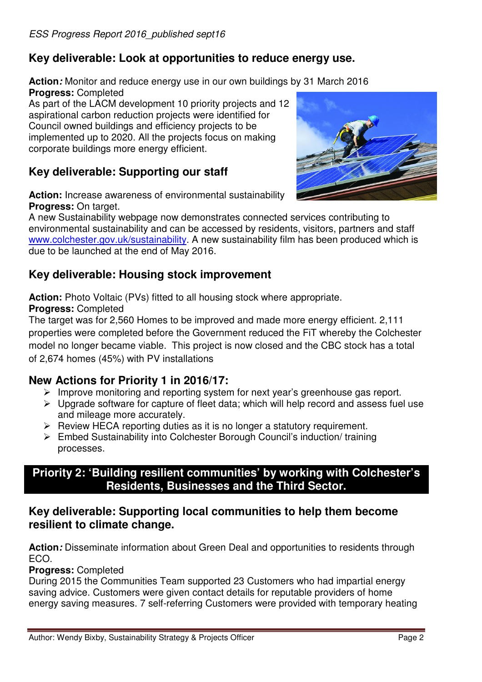# **Key deliverable: Look at opportunities to reduce energy use.**

**Action:** Monitor and reduce energy use in our own buildings by 31 March 2016 **Progress:** Completed

As part of the LACM development 10 priority projects and 12 aspirational carbon reduction projects were identified for Council owned buildings and efficiency projects to be implemented up to 2020. All the projects focus on making corporate buildings more energy efficient.

# **Key deliverable: Supporting our staff**

**Action:** Increase awareness of environmental sustainability **Progress:** On target.

A new Sustainability webpage now demonstrates connected services contributing to environmental sustainability and can be accessed by residents, visitors, partners and staff www.colchester.gov.uk/sustainability. A new sustainability film has been produced which is due to be launched at the end of May 2016.

# **Key deliverable: Housing stock improvement**

**Action:** Photo Voltaic (PVs) fitted to all housing stock where appropriate. **Progress:** Completed

The target was for 2,560 Homes to be improved and made more energy efficient. 2,111 properties were completed before the Government reduced the FiT whereby the Colchester model no longer became viable. This project is now closed and the CBC stock has a total of 2,674 homes (45%) with PV installations

# **New Actions for Priority 1 in 2016/17:**

- $\triangleright$  Improve monitoring and reporting system for next year's greenhouse gas report.
- $\triangleright$  Upgrade software for capture of fleet data; which will help record and assess fuel use and mileage more accurately.
- $\triangleright$  Review HECA reporting duties as it is no longer a statutory requirement.
- Embed Sustainability into Colchester Borough Council's induction/ training processes.

### **Priority 2: 'Building resilient communities' by working with Colchester's Residents, Businesses and the Third Sector.**

### **Key deliverable: Supporting local communities to help them become resilient to climate change.**

**Action:** Disseminate information about Green Deal and opportunities to residents through ECO.

#### **Progress:** Completed

During 2015 the Communities Team supported 23 Customers who had impartial energy saving advice. Customers were given contact details for reputable providers of home energy saving measures. 7 self-referring Customers were provided with temporary heating

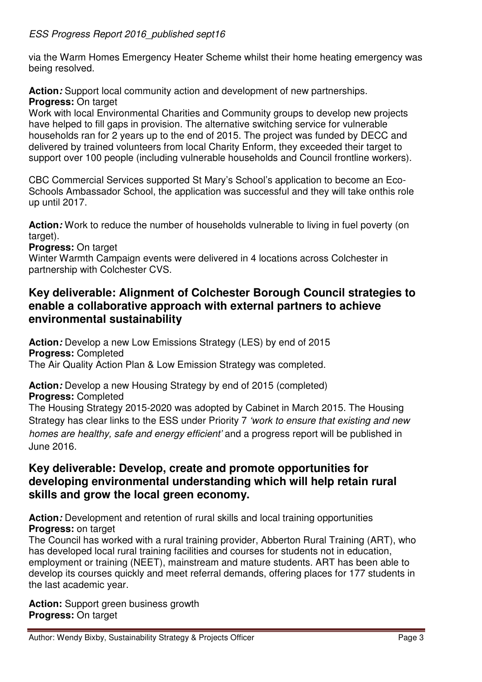#### ESS Progress Report 2016 published sept16

via the Warm Homes Emergency Heater Scheme whilst their home heating emergency was being resolved.

**Action:** Support local community action and development of new partnerships. **Progress:** On target

Work with local Environmental Charities and Community groups to develop new projects have helped to fill gaps in provision. The alternative switching service for vulnerable households ran for 2 years up to the end of 2015. The project was funded by DECC and delivered by trained volunteers from local Charity Enform, they exceeded their target to support over 100 people (including vulnerable households and Council frontline workers).

CBC Commercial Services supported St Mary's School's application to become an Eco-Schools Ambassador School, the application was successful and they will take onthis role up until 2017.

**Action:** Work to reduce the number of households vulnerable to living in fuel poverty (on target).

**Progress:** On target

Winter Warmth Campaign events were delivered in 4 locations across Colchester in partnership with Colchester CVS.

### **Key deliverable: Alignment of Colchester Borough Council strategies to enable a collaborative approach with external partners to achieve environmental sustainability**

**Action:** Develop a new Low Emissions Strategy (LES) by end of 2015 **Progress:** Completed The Air Quality Action Plan & Low Emission Strategy was completed.

Action: Develop a new Housing Strategy by end of 2015 (completed)

**Progress:** Completed

The Housing Strategy 2015-2020 was adopted by Cabinet in March 2015. The Housing Strategy has clear links to the ESS under Priority 7 'work to ensure that existing and new homes are healthy, safe and energy efficient' and a progress report will be published in June 2016.

### **Key deliverable: Develop, create and promote opportunities for developing environmental understanding which will help retain rural skills and grow the local green economy.**

Action: Development and retention of rural skills and local training opportunities **Progress:** on target

The Council has worked with a rural training provider, Abberton Rural Training (ART), who has developed local rural training facilities and courses for students not in education, employment or training (NEET), mainstream and mature students. ART has been able to develop its courses quickly and meet referral demands, offering places for 177 students in the last academic year.

**Action:** Support green business growth **Progress:** On target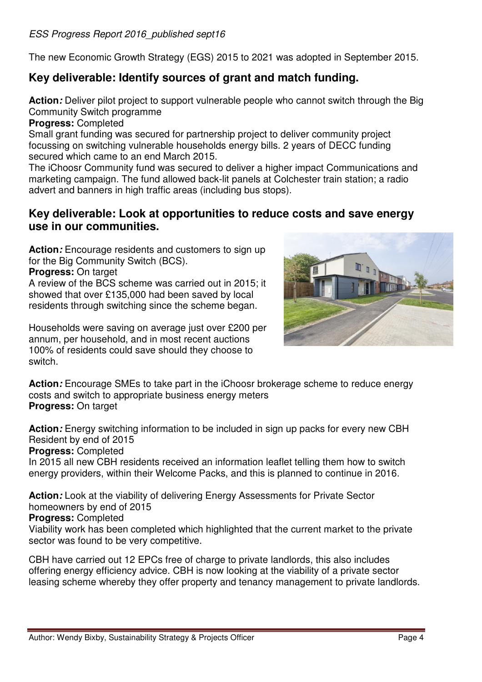The new Economic Growth Strategy (EGS) 2015 to 2021 was adopted in September 2015.

# **Key deliverable: Identify sources of grant and match funding.**

Action: Deliver pilot project to support vulnerable people who cannot switch through the Big Community Switch programme

**Progress:** Completed

Small grant funding was secured for partnership project to deliver community project focussing on switching vulnerable households energy bills. 2 years of DECC funding secured which came to an end March 2015.

The iChoosr Community fund was secured to deliver a higher impact Communications and marketing campaign. The fund allowed back-lit panels at Colchester train station; a radio advert and banners in high traffic areas (including bus stops).

### **Key deliverable: Look at opportunities to reduce costs and save energy use in our communities.**

**Action:** Encourage residents and customers to sign up for the Big Community Switch (BCS).

**Progress:** On target

A review of the BCS scheme was carried out in 2015; it showed that over £135,000 had been saved by local residents through switching since the scheme began.

Households were saving on average just over £200 per annum, per household, and in most recent auctions 100% of residents could save should they choose to switch.



**Action:** Encourage SMEs to take part in the iChoosr brokerage scheme to reduce energy costs and switch to appropriate business energy meters **Progress:** On target

**Action:** Energy switching information to be included in sign up packs for every new CBH Resident by end of 2015

**Progress:** Completed

In 2015 all new CBH residents received an information leaflet telling them how to switch energy providers, within their Welcome Packs, and this is planned to continue in 2016.

**Action:** Look at the viability of delivering Energy Assessments for Private Sector homeowners by end of 2015

#### **Progress:** Completed

Viability work has been completed which highlighted that the current market to the private sector was found to be very competitive.

CBH have carried out 12 EPCs free of charge to private landlords, this also includes offering energy efficiency advice. CBH is now looking at the viability of a private sector leasing scheme whereby they offer property and tenancy management to private landlords.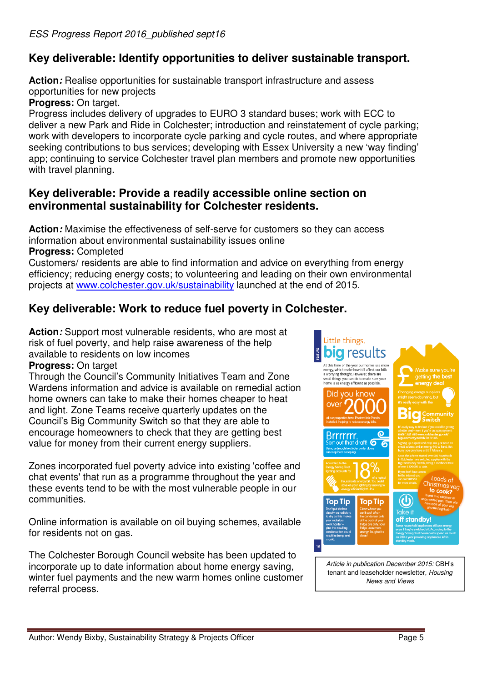# **Key deliverable: Identify opportunities to deliver sustainable transport.**

Action: Realise opportunities for sustainable transport infrastructure and assess opportunities for new projects

**Progress:** On target.

Progress includes delivery of upgrades to EURO 3 standard buses; work with ECC to deliver a new Park and Ride in Colchester; introduction and reinstatement of cycle parking; work with developers to incorporate cycle parking and cycle routes, and where appropriate seeking contributions to bus services; developing with Essex University a new 'way finding' app; continuing to service Colchester travel plan members and promote new opportunities with travel planning.

# **Key deliverable: Provide a readily accessible online section on environmental sustainability for Colchester residents.**

**Action:** Maximise the effectiveness of self-serve for customers so they can access information about environmental sustainability issues online **Progress:** Completed

Customers/ residents are able to find information and advice on everything from energy efficiency; reducing energy costs; to volunteering and leading on their own environmental projects at www.colchester.gov.uk/sustainability launched at the end of 2015.

# **Key deliverable: Work to reduce fuel poverty in Colchester.**

**Action:** Support most vulnerable residents, who are most at risk of fuel poverty, and help raise awareness of the help available to residents on low incomes

**Progress:** On target

Through the Council's Community Initiatives Team and Zone Wardens information and advice is available on remedial action home owners can take to make their homes cheaper to heat and light. Zone Teams receive quarterly updates on the Council's Big Community Switch so that they are able to encourage homeowners to check that they are getting best value for money from their current energy suppliers.

Zones incorporated fuel poverty advice into existing 'coffee and chat events' that run as a programme throughout the year and these events tend to be with the most vulnerable people in our communities.

Online information is available on oil buying schemes, available for residents not on gas.

The Colchester Borough Council website has been updated to incorporate up to date information about home energy saving, winter fuel payments and the new warm homes online customer referral process.



tenant and leaseholder newsletter, Housing News and Views